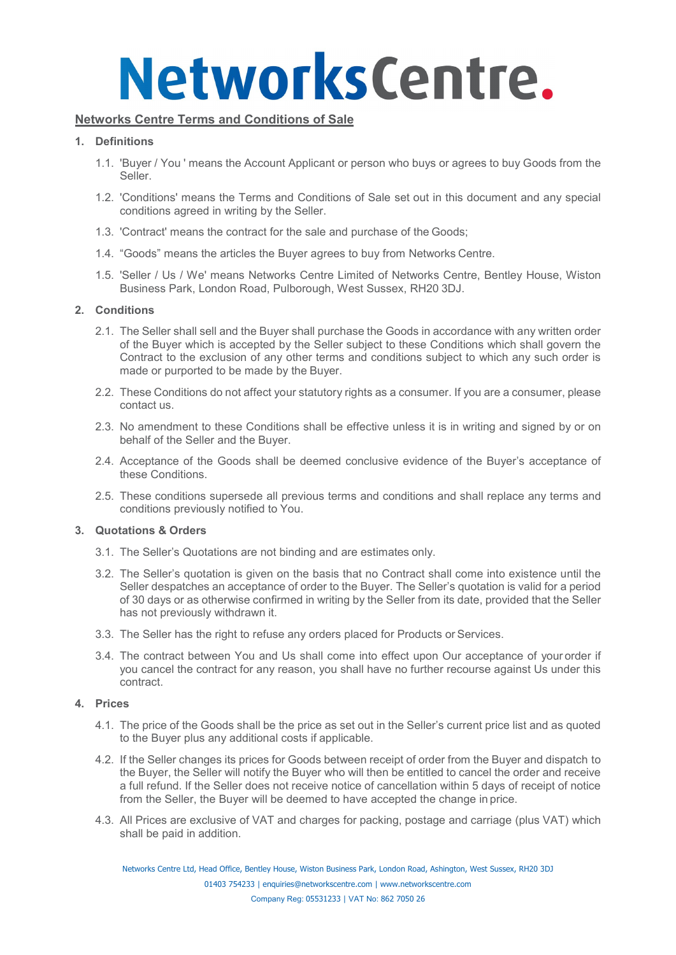### **Networks Centre Terms and Conditions of Sale**

### **1. Definitions**

- 1.1. 'Buyer / You ' means the Account Applicant or person who buys or agrees to buy Goods from the Seller.
- 1.2. 'Conditions' means the Terms and Conditions of Sale set out in this document and any special conditions agreed in writing by the Seller.
- 1.3. 'Contract' means the contract for the sale and purchase of the Goods;
- 1.4. "Goods" means the articles the Buyer agrees to buy from Networks Centre.
- 1.5. 'Seller / Us / We' means Networks Centre Limited of Networks Centre, Bentley House, Wiston Business Park, London Road, Pulborough, West Sussex, RH20 3DJ.

### **2. Conditions**

- 2.1. The Seller shall sell and the Buyer shall purchase the Goods in accordance with any written order of the Buyer which is accepted by the Seller subject to these Conditions which shall govern the Contract to the exclusion of any other terms and conditions subject to which any such order is made or purported to be made by the Buyer.
- 2.2. These Conditions do not affect your statutory rights as a consumer. If you are a consumer, please contact us.
- 2.3. No amendment to these Conditions shall be effective unless it is in writing and signed by or on behalf of the Seller and the Buyer.
- 2.4. Acceptance of the Goods shall be deemed conclusive evidence of the Buyer's acceptance of these Conditions.
- 2.5. These conditions supersede all previous terms and conditions and shall replace any terms and conditions previously notified to You.

### **3. Quotations & Orders**

- 3.1. The Seller's Quotations are not binding and are estimates only.
- 3.2. The Seller's quotation is given on the basis that no Contract shall come into existence until the Seller despatches an acceptance of order to the Buyer. The Seller's quotation is valid for a period of 30 days or as otherwise confirmed in writing by the Seller from its date, provided that the Seller has not previously withdrawn it.
- 3.3. The Seller has the right to refuse any orders placed for Products or Services.
- 3.4. The contract between You and Us shall come into effect upon Our acceptance of your order if you cancel the contract for any reason, you shall have no further recourse against Us under this contract.

### **4. Prices**

- 4.1. The price of the Goods shall be the price as set out in the Seller's current price list and as quoted to the Buyer plus any additional costs if applicable.
- 4.2. If the Seller changes its prices for Goods between receipt of order from the Buyer and dispatch to the Buyer, the Seller will notify the Buyer who will then be entitled to cancel the order and receive a full refund. If the Seller does not receive notice of cancellation within 5 days of receipt of notice from the Seller, the Buyer will be deemed to have accepted the change in price.
- 4.3. All Prices are exclusive of VAT and charges for packing, postage and carriage (plus VAT) which shall be paid in addition.

Networks Centre Ltd, Head Office, Bentley House, Wiston Business Park, London Road, Ashington, West Sussex, RH20 3DJ [01403 754233 | enquiries@networkscentre.com](mailto:enquiries@networkscentre.com) | [www.networkscentre.com](http://www.networkscentre.com/)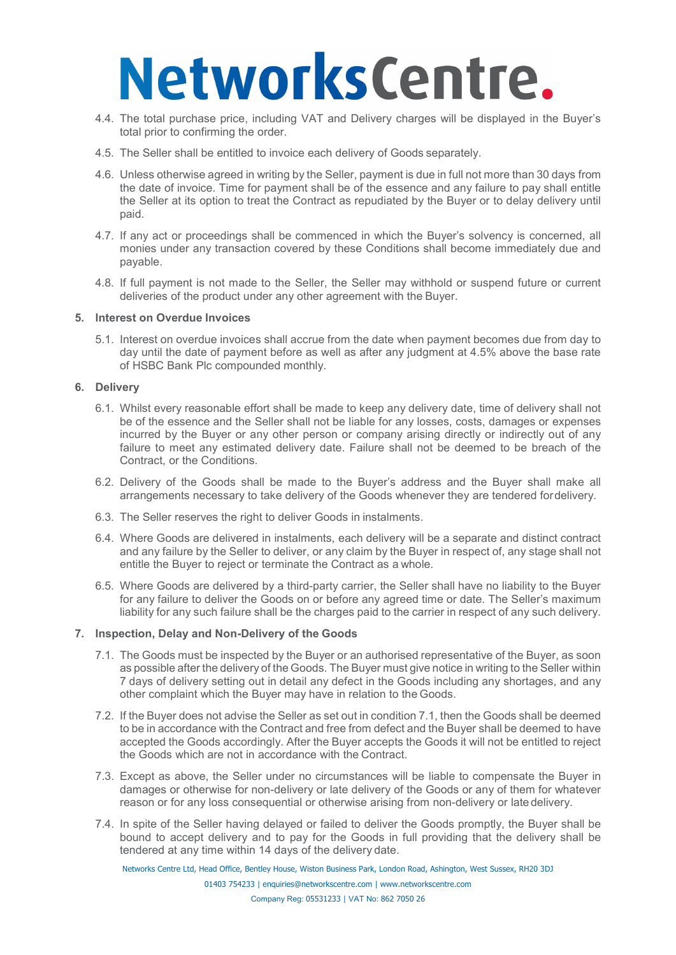- 4.4. The total purchase price, including VAT and Delivery charges will be displayed in the Buyer's total prior to confirming the order.
- 4.5. The Seller shall be entitled to invoice each delivery of Goods separately.
- 4.6. Unless otherwise agreed in writing by the Seller, payment is due in full not more than 30 days from the date of invoice. Time for payment shall be of the essence and any failure to pay shall entitle the Seller at its option to treat the Contract as repudiated by the Buyer or to delay delivery until paid.
- 4.7. If any act or proceedings shall be commenced in which the Buyer's solvency is concerned, all monies under any transaction covered by these Conditions shall become immediately due and payable.
- 4.8. If full payment is not made to the Seller, the Seller may withhold or suspend future or current deliveries of the product under any other agreement with the Buyer.

### **5. Interest on Overdue Invoices**

5.1. Interest on overdue invoices shall accrue from the date when payment becomes due from day to day until the date of payment before as well as after any judgment at 4.5% above the base rate of HSBC Bank Plc compounded monthly.

### **6. Delivery**

- 6.1. Whilst every reasonable effort shall be made to keep any delivery date, time of delivery shall not be of the essence and the Seller shall not be liable for any losses, costs, damages or expenses incurred by the Buyer or any other person or company arising directly or indirectly out of any failure to meet any estimated delivery date. Failure shall not be deemed to be breach of the Contract, or the Conditions.
- 6.2. Delivery of the Goods shall be made to the Buyer's address and the Buyer shall make all arrangements necessary to take delivery of the Goods whenever they are tendered fordelivery.
- 6.3. The Seller reserves the right to deliver Goods in instalments.
- 6.4. Where Goods are delivered in instalments, each delivery will be a separate and distinct contract and any failure by the Seller to deliver, or any claim by the Buyer in respect of, any stage shall not entitle the Buyer to reject or terminate the Contract as a whole.
- 6.5. Where Goods are delivered by a third-party carrier, the Seller shall have no liability to the Buyer for any failure to deliver the Goods on or before any agreed time or date. The Seller's maximum liability for any such failure shall be the charges paid to the carrier in respect of any such delivery.

### **7. Inspection, Delay and Non-Delivery of the Goods**

- 7.1. The Goods must be inspected by the Buyer or an authorised representative of the Buyer, as soon as possible after the delivery of the Goods. The Buyer must give notice in writing to the Seller within 7 days of delivery setting out in detail any defect in the Goods including any shortages, and any other complaint which the Buyer may have in relation to the Goods.
- 7.2. If the Buyer does not advise the Seller as set out in condition 7.1, then the Goods shall be deemed to be in accordance with the Contract and free from defect and the Buyer shall be deemed to have accepted the Goods accordingly. After the Buyer accepts the Goods it will not be entitled to reject the Goods which are not in accordance with the Contract.
- 7.3. Except as above, the Seller under no circumstances will be liable to compensate the Buyer in damages or otherwise for non-delivery or late delivery of the Goods or any of them for whatever reason or for any loss consequential or otherwise arising from non-delivery or late delivery.
- 7.4. In spite of the Seller having delayed or failed to deliver the Goods promptly, the Buyer shall be bound to accept delivery and to pay for the Goods in full providing that the delivery shall be tendered at any time within 14 days of the delivery date.

Networks Centre Ltd, Head Office, Bentley House, Wiston Business Park, London Road, Ashington, West Sussex, RH20 3DJ

[01403 754233 | enquiries@networkscentre.com](mailto:enquiries@networkscentre.com) | [www.networkscentre.com](http://www.networkscentre.com/)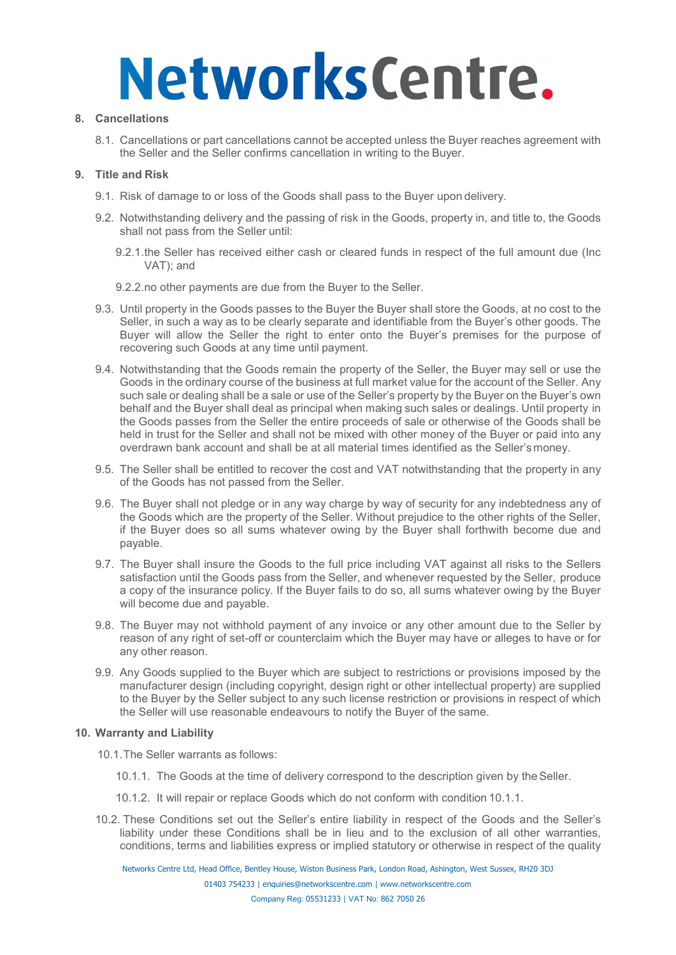### **8. Cancellations**

8.1. Cancellations or part cancellations cannot be accepted unless the Buyer reaches agreement with the Seller and the Seller confirms cancellation in writing to the Buyer.

### **9. Title and Risk**

- 9.1. Risk of damage to or loss of the Goods shall pass to the Buyer upon delivery.
- 9.2. Notwithstanding delivery and the passing of risk in the Goods, property in, and title to, the Goods shall not pass from the Seller until:
	- 9.2.1.the Seller has received either cash or cleared funds in respect of the full amount due (Inc VAT); and
	- 9.2.2.no other payments are due from the Buyer to the Seller.
- 9.3. Until property in the Goods passes to the Buyer the Buyer shall store the Goods, at no cost to the Seller, in such a way as to be clearly separate and identifiable from the Buyer's other goods. The Buyer will allow the Seller the right to enter onto the Buyer's premises for the purpose of recovering such Goods at any time until payment.
- 9.4. Notwithstanding that the Goods remain the property of the Seller, the Buyer may sell or use the Goods in the ordinary course of the business at full market value for the account of the Seller. Any such sale or dealing shall be a sale or use of the Seller's property by the Buyer on the Buyer's own behalf and the Buyer shall deal as principal when making such sales or dealings. Until property in the Goods passes from the Seller the entire proceeds of sale or otherwise of the Goods shall be held in trust for the Seller and shall not be mixed with other money of the Buyer or paid into any overdrawn bank account and shall be at all material times identified as the Seller'smoney.
- 9.5. The Seller shall be entitled to recover the cost and VAT notwithstanding that the property in any of the Goods has not passed from the Seller.
- 9.6. The Buyer shall not pledge or in any way charge by way of security for any indebtedness any of the Goods which are the property of the Seller. Without prejudice to the other rights of the Seller, if the Buyer does so all sums whatever owing by the Buyer shall forthwith become due and payable.
- 9.7. The Buyer shall insure the Goods to the full price including VAT against all risks to the Sellers satisfaction until the Goods pass from the Seller, and whenever requested by the Seller, produce a copy of the insurance policy. If the Buyer fails to do so, all sums whatever owing by the Buyer will become due and payable.
- 9.8. The Buyer may not withhold payment of any invoice or any other amount due to the Seller by reason of any right of set-off or counterclaim which the Buyer may have or alleges to have or for any other reason.
- 9.9. Any Goods supplied to the Buyer which are subject to restrictions or provisions imposed by the manufacturer design (including copyright, design right or other intellectual property) are supplied to the Buyer by the Seller subject to any such license restriction or provisions in respect of which the Seller will use reasonable endeavours to notify the Buyer of the same.

### **10. Warranty and Liability**

10.1.The Seller warrants as follows:

- 10.1.1. The Goods at the time of delivery correspond to the description given by the Seller.
- 10.1.2. It will repair or replace Goods which do not conform with condition 10.1.1.
- 10.2. These Conditions set out the Seller's entire liability in respect of the Goods and the Seller's liability under these Conditions shall be in lieu and to the exclusion of all other warranties, conditions, terms and liabilities express or implied statutory or otherwise in respect of the quality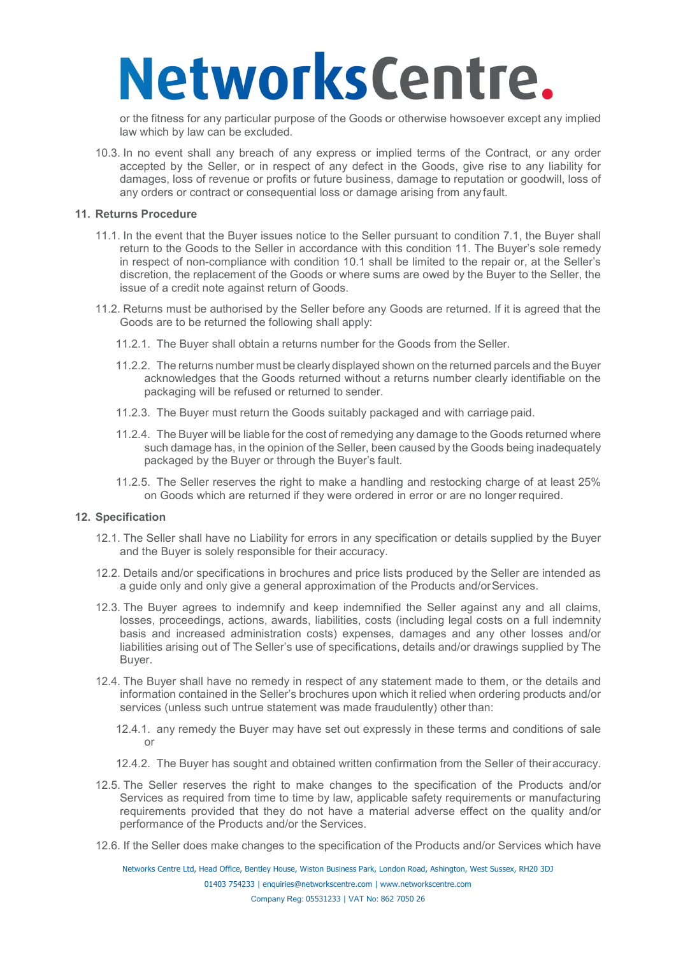or the fitness for any particular purpose of the Goods or otherwise howsoever except any implied law which by law can be excluded.

10.3. In no event shall any breach of any express or implied terms of the Contract, or any order accepted by the Seller, or in respect of any defect in the Goods, give rise to any liability for damages, loss of revenue or profits or future business, damage to reputation or goodwill, loss of any orders or contract or consequential loss or damage arising from any fault.

### **11. Returns Procedure**

- 11.1. In the event that the Buyer issues notice to the Seller pursuant to condition 7.1, the Buyer shall return to the Goods to the Seller in accordance with this condition 11. The Buyer's sole remedy in respect of non-compliance with condition 10.1 shall be limited to the repair or, at the Seller's discretion, the replacement of the Goods or where sums are owed by the Buyer to the Seller, the issue of a credit note against return of Goods.
- 11.2. Returns must be authorised by the Seller before any Goods are returned. If it is agreed that the Goods are to be returned the following shall apply:
	- 11.2.1. The Buyer shall obtain a returns number for the Goods from the Seller.
	- 11.2.2. The returns number must be clearly displayed shown on the returned parcels and the Buyer acknowledges that the Goods returned without a returns number clearly identifiable on the packaging will be refused or returned to sender.
	- 11.2.3. The Buyer must return the Goods suitably packaged and with carriage paid.
	- 11.2.4. The Buyer will be liable for the cost of remedying any damage to the Goods returned where such damage has, in the opinion of the Seller, been caused by the Goods being inadequately packaged by the Buyer or through the Buyer's fault.
	- 11.2.5. The Seller reserves the right to make a handling and restocking charge of at least 25% on Goods which are returned if they were ordered in error or are no longer required.

### **12. Specification**

- 12.1. The Seller shall have no Liability for errors in any specification or details supplied by the Buyer and the Buyer is solely responsible for their accuracy.
- 12.2. Details and/or specifications in brochures and price lists produced by the Seller are intended as a guide only and only give a general approximation of the Products and/orServices.
- 12.3. The Buyer agrees to indemnify and keep indemnified the Seller against any and all claims, losses, proceedings, actions, awards, liabilities, costs (including legal costs on a full indemnity basis and increased administration costs) expenses, damages and any other losses and/or liabilities arising out of The Seller's use of specifications, details and/or drawings supplied by The Buyer.
- 12.4. The Buyer shall have no remedy in respect of any statement made to them, or the details and information contained in the Seller's brochures upon which it relied when ordering products and/or services (unless such untrue statement was made fraudulently) other than:
	- 12.4.1. any remedy the Buyer may have set out expressly in these terms and conditions of sale or
	- 12.4.2. The Buyer has sought and obtained written confirmation from the Seller of their accuracy.
- 12.5. The Seller reserves the right to make changes to the specification of the Products and/or Services as required from time to time by law, applicable safety requirements or manufacturing requirements provided that they do not have a material adverse effect on the quality and/or performance of the Products and/or the Services.
- 12.6. If the Seller does make changes to the specification of the Products and/or Services which have

Networks Centre Ltd, Head Office, Bentley House, Wiston Business Park, London Road, Ashington, West Sussex, RH20 3DJ [01403 754233 | enquiries@networkscentre.com](mailto:enquiries@networkscentre.com) | [www.networkscentre.com](http://www.networkscentre.com/) Company Reg: 05531233 | VAT No: 862 7050 26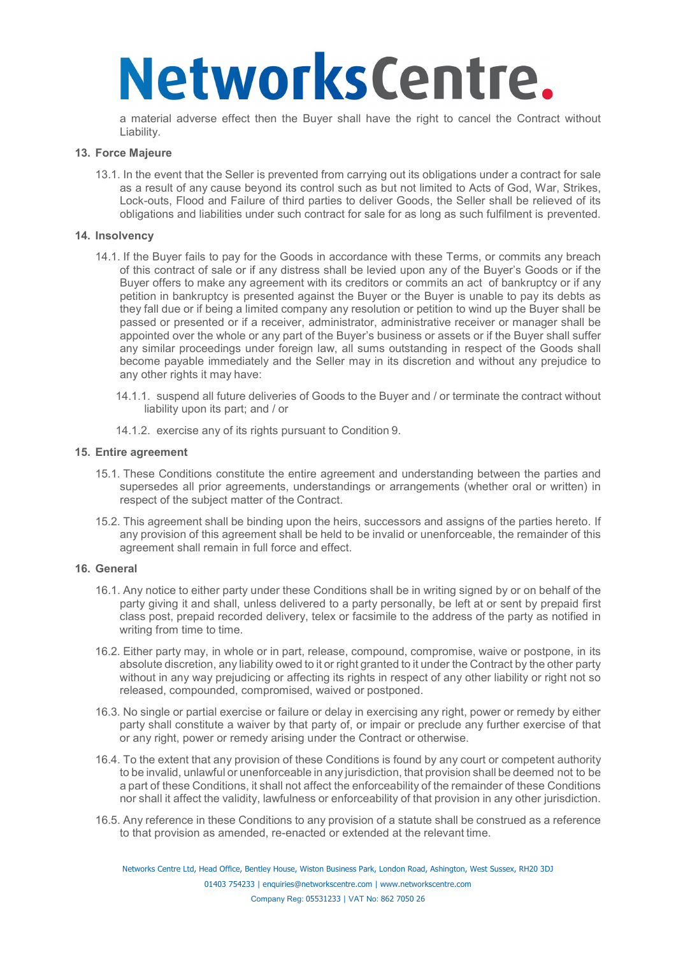a material adverse effect then the Buyer shall have the right to cancel the Contract without Liability.

### **13. Force Majeure**

13.1. In the event that the Seller is prevented from carrying out its obligations under a contract for sale as a result of any cause beyond its control such as but not limited to Acts of God, War, Strikes, Lock-outs, Flood and Failure of third parties to deliver Goods, the Seller shall be relieved of its obligations and liabilities under such contract for sale for as long as such fulfilment is prevented.

### **14. Insolvency**

- 14.1. If the Buyer fails to pay for the Goods in accordance with these Terms, or commits any breach of this contract of sale or if any distress shall be levied upon any of the Buyer's Goods or if the Buyer offers to make any agreement with its creditors or commits an act of bankruptcy or if any petition in bankruptcy is presented against the Buyer or the Buyer is unable to pay its debts as they fall due or if being a limited company any resolution or petition to wind up the Buyer shall be passed or presented or if a receiver, administrator, administrative receiver or manager shall be appointed over the whole or any part of the Buyer's business or assets or if the Buyer shall suffer any similar proceedings under foreign law, all sums outstanding in respect of the Goods shall become payable immediately and the Seller may in its discretion and without any prejudice to any other rights it may have:
	- 14.1.1. suspend all future deliveries of Goods to the Buyer and / or terminate the contract without liability upon its part; and / or
	- 14.1.2. exercise any of its rights pursuant to Condition 9.

### **15. Entire agreement**

- 15.1. These Conditions constitute the entire agreement and understanding between the parties and supersedes all prior agreements, understandings or arrangements (whether oral or written) in respect of the subject matter of the Contract.
- 15.2. This agreement shall be binding upon the heirs, successors and assigns of the parties hereto. If any provision of this agreement shall be held to be invalid or unenforceable, the remainder of this agreement shall remain in full force and effect.

### **16. General**

- 16.1. Any notice to either party under these Conditions shall be in writing signed by or on behalf of the party giving it and shall, unless delivered to a party personally, be left at or sent by prepaid first class post, prepaid recorded delivery, telex or facsimile to the address of the party as notified in writing from time to time.
- 16.2. Either party may, in whole or in part, release, compound, compromise, waive or postpone, in its absolute discretion, any liability owed to it or right granted to it under the Contract by the other party without in any way prejudicing or affecting its rights in respect of any other liability or right not so released, compounded, compromised, waived or postponed.
- 16.3. No single or partial exercise or failure or delay in exercising any right, power or remedy by either party shall constitute a waiver by that party of, or impair or preclude any further exercise of that or any right, power or remedy arising under the Contract or otherwise.
- 16.4. To the extent that any provision of these Conditions is found by any court or competent authority to be invalid, unlawful or unenforceable in any jurisdiction, that provision shall be deemed not to be a part of these Conditions, it shall not affect the enforceability of the remainder of these Conditions nor shall it affect the validity, lawfulness or enforceability of that provision in any other jurisdiction.
- 16.5. Any reference in these Conditions to any provision of a statute shall be construed as a reference to that provision as amended, re-enacted or extended at the relevant time.

Networks Centre Ltd, Head Office, Bentley House, Wiston Business Park, London Road, Ashington, West Sussex, RH20 3DJ [01403 754233 | enquiries@networkscentre.com](mailto:enquiries@networkscentre.com) | [www.networkscentre.com](http://www.networkscentre.com/)